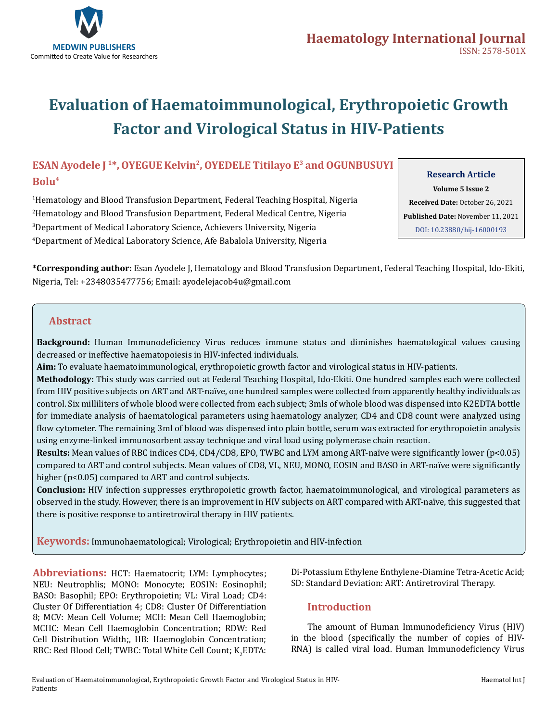

# **Evaluation of Haematoimmunological, Erythropoietic Growth Factor and Virological Status in HIV-Patients**

# **ESAN Ayodele J 1\*, OYEGUE Kelvin2, OYEDELE Titilayo E3 and OGUNBUSUYI Bolu4**

 Hematology and Blood Transfusion Department, Federal Teaching Hospital, Nigeria Hematology and Blood Transfusion Department, Federal Medical Centre, Nigeria Department of Medical Laboratory Science, Achievers University, Nigeria Department of Medical Laboratory Science, Afe Babalola University, Nigeria

## **Research Article**

**Volume 5 Issue 2 Received Date:** October 26, 2021 **Published Date:** November 11, 2021 [DOI: 10.23880/hij-16000193](https://doi.org/10.23880/hij-16000193)

**\*Corresponding author:** Esan Ayodele J, Hematology and Blood Transfusion Department, Federal Teaching Hospital, Ido-Ekiti, Nigeria, Tel: +2348035477756; Email: ayodelejacob4u@gmail.com

## **Abstract**

**Background:** Human Immunodeficiency Virus reduces immune status and diminishes haematological values causing decreased or ineffective haematopoiesis in HIV-infected individuals.

**Aim:** To evaluate haematoimmunological, erythropoietic growth factor and virological status in HIV-patients.

**Methodology:** This study was carried out at Federal Teaching Hospital, Ido-Ekiti. One hundred samples each were collected from HIV positive subjects on ART and ART-naïve, one hundred samples were collected from apparently healthy individuals as control. Six milliliters of whole blood were collected from each subject; 3mls of whole blood was dispensed into K2EDTA bottle for immediate analysis of haematological parameters using haematology analyzer, CD4 and CD8 count were analyzed using flow cytometer. The remaining 3ml of blood was dispensed into plain bottle, serum was extracted for erythropoietin analysis using enzyme-linked immunosorbent assay technique and viral load using polymerase chain reaction.

**Results:** Mean values of RBC indices CD4, CD4/CD8, EPO, TWBC and LYM among ART-naïve were significantly lower (p<0.05) compared to ART and control subjects. Mean values of CD8, VL, NEU, MONO, EOSIN and BASO in ART-naïve were significantly higher (p<0.05) compared to ART and control subjects.

**Conclusion:** HIV infection suppresses erythropoietic growth factor, haematoimmunological, and virological parameters as observed in the study. However, there is an improvement in HIV subjects on ART compared with ART-naïve, this suggested that there is positive response to antiretroviral therapy in HIV patients.

**Keywords:** Immunohaematological; Virological; Erythropoietin and HIV-infection

**Abbreviations:** HCT: Haematocrit; LYM: Lymphocytes; NEU: Neutrophlis; MONO: Monocyte; EOSIN: Eosinophil; BASO: Basophil; EPO: Erythropoietin; VL: Viral Load; CD4: Cluster Of Differentiation 4; CD8: Cluster Of Differentiation 8; MCV: Mean Cell Volume; MCH: Mean Cell Haemoglobin; MCHC: Mean Cell Haemoglobin Concentration; RDW: Red Cell Distribution Width;, HB: Haemoglobin Concentration; RBC: Red Blood Cell; TWBC: Total White Cell Count;  $\mathrm{K}_2\mathrm{EDTA:}$  Di-Potassium Ethylene Enthylene-Diamine Tetra-Acetic Acid; SD: Standard Deviation: ART: Antiretroviral Therapy.

# **Introduction**

The amount of Human Immunodeficiency Virus (HIV) in the blood (specifically the number of copies of HIV-RNA) is called viral load. Human Immunodeficiency Virus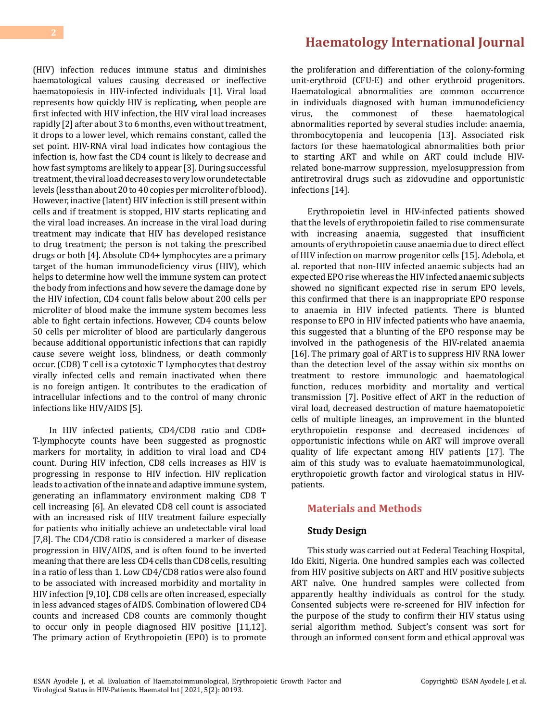(HIV) infection reduces immune status and diminishes haematological values causing decreased or ineffective haematopoiesis in HIV-infected individuals [1]. Viral load represents how quickly HIV is replicating, when people are first infected with HIV infection, the HIV viral load increases rapidly [2] after about 3 to 6 months, even without treatment, it drops to a lower level, which remains constant, called the set point. HIV-RNA viral load indicates how contagious the infection is, how fast the CD4 count is likely to decrease and how fast symptoms are likely to appear [3]. During successful treatment, the viral load decreases to very low or undetectable levels (less than about 20 to 40 copies per microliter of blood). However, inactive (latent) HIV infection is still present within cells and if treatment is stopped, HIV starts replicating and the viral load increases. An increase in the viral load during treatment may indicate that HIV has developed resistance to drug treatment; the person is not taking the prescribed drugs or both [4]. Absolute CD4+ lymphocytes are a primary target of the human immunodeficiency virus (HIV), which helps to determine how well the immune system can protect the body from infections and how severe the damage done by the HIV infection, CD4 count falls below about 200 cells per microliter of blood make the immune system becomes less able to fight certain infections. However, CD4 counts below 50 cells per microliter of blood are particularly dangerous because additional opportunistic infections that can rapidly cause severe weight loss, blindness, or death commonly occur. (CD8) T cell is a cytotoxic T Lymphocytes that destroy virally infected cells and remain inactivated when there is no foreign antigen. It contributes to the eradication of intracellular infections and to the control of many chronic infections like HIV/AIDS [5].

In HIV infected patients, CD4/CD8 ratio and CD8+ T-lymphocyte counts have been suggested as prognostic markers for mortality, in addition to viral load and CD4 count. During HIV infection, CD8 cells increases as HIV is progressing in response to HIV infection. HIV replication leads to activation of the innate and adaptive immune system, generating an inflammatory environment making CD8 T cell increasing [6]. An elevated CD8 cell count is associated with an increased risk of HIV treatment failure especially for patients who initially achieve an undetectable viral load [7,8]. The CD4/CD8 ratio is considered a marker of disease progression in HIV/AIDS, and is often found to be inverted meaning that there are less CD4 cells than CD8 cells, resulting in a ratio of less than 1. Low CD4/CD8 ratios were also found to be associated with increased morbidity and mortality in HIV infection [9,10]. CD8 cells are often increased, especially in less advanced stages of AIDS. Combination of lowered CD4 counts and increased CD8 counts are commonly thought to occur only in people diagnosed HIV positive [11,12]. The primary action of Erythropoietin (EPO) is to promote

# **[Haematology International Journal](https://medwinpublishers.com/HIJ/)**

the proliferation and differentiation of the colony-forming unit-erythroid (CFU-E) and other erythroid progenitors. Haematological abnormalities are common occurrence in individuals diagnosed with human immunodeficiency<br>virus. the commonest of these haematological the commonest of these abnormalities reported by several studies include: anaemia, thrombocytopenia and leucopenia [13]. Associated risk factors for these haematological abnormalities both prior to starting ART and while on ART could include HIVrelated bone-marrow suppression, myelosuppression from antiretroviral drugs such as zidovudine and opportunistic infections [14].

Erythropoietin level in HIV-infected patients showed that the levels of erythropoietin failed to rise commensurate with increasing anaemia, suggested that insufficient amounts of erythropoietin cause anaemia due to direct effect of HIV infection on marrow progenitor cells [15]. Adebola, et al. reported that non-HIV infected anaemic subjects had an expected EPO rise whereas the HIV infected anaemic subjects showed no significant expected rise in serum EPO levels, this confirmed that there is an inappropriate EPO response to anaemia in HIV infected patients. There is blunted response to EPO in HIV infected patients who have anaemia, this suggested that a blunting of the EPO response may be involved in the pathogenesis of the HIV-related anaemia [16]. The primary goal of ART is to suppress HIV RNA lower than the detection level of the assay within six months on treatment to restore immunologic and haematological function, reduces morbidity and mortality and vertical transmission [7]. Positive effect of ART in the reduction of viral load, decreased destruction of mature haematopoietic cells of multiple lineages, an improvement in the blunted erythropoietin response and decreased incidences of opportunistic infections while on ART will improve overall quality of life expectant among HIV patients [17]. The aim of this study was to evaluate haematoimmunological, erythropoietic growth factor and virological status in HIVpatients.

## **Materials and Methods**

## **Study Design**

This study was carried out at Federal Teaching Hospital, Ido Ekiti, Nigeria. One hundred samples each was collected from HIV positive subjects on ART and HIV positive subjects ART naïve. One hundred samples were collected from apparently healthy individuals as control for the study. Consented subjects were re-screened for HIV infection for the purpose of the study to confirm their HIV status using serial algorithm method. Subject's consent was sort for through an informed consent form and ethical approval was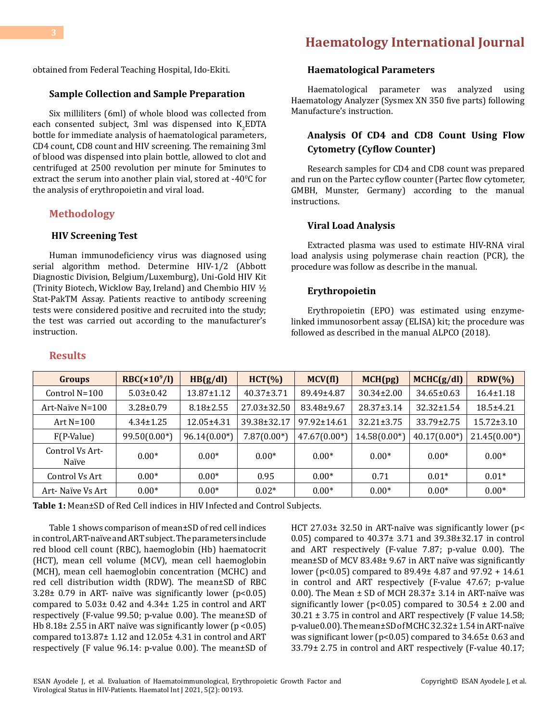# **[Haematology International Journal](https://medwinpublishers.com/HIJ/)**

obtained from Federal Teaching Hospital, Ido-Ekiti.

#### **Sample Collection and Sample Preparation**

Six milliliters (6ml) of whole blood was collected from each consented subject, 3ml was dispensed into  $K_2$ EDTA bottle for immediate analysis of haematological parameters, CD4 count, CD8 count and HIV screening. The remaining 3ml of blood was dispensed into plain bottle, allowed to clot and centrifuged at 2500 revolution per minute for 5minutes to extract the serum into another plain vial, stored at -40 $\rm ^{0}C$  for the analysis of erythropoietin and viral load.

#### **Methodology**

**Results**

#### **HIV Screening Test**

Human immunodeficiency virus was diagnosed using serial algorithm method. Determine HIV-1/2 (Abbott Diagnostic Division, Belgium/Luxemburg), Uni-Gold HIV Kit (Trinity Biotech, Wicklow Bay, Ireland) and Chembio HIV ½ Stat-PakTM Assay. Patients reactive to antibody screening tests were considered positive and recruited into the study; the test was carried out according to the manufacturer's instruction.

## **Haematological Parameters**

Haematological parameter was analyzed using Haematology Analyzer (Sysmex XN 350 five parts) following Manufacture's instruction.

## **Analysis Of CD4 and CD8 Count Using Flow Cytometry (Cyflow Counter)**

Research samples for CD4 and CD8 count was prepared and run on the Partec cyflow counter (Partec flow cytometer, GMBH, Munster, Germany) according to the manual instructions.

## **Viral Load Analysis**

Extracted plasma was used to estimate HIV-RNA viral load analysis using polymerase chain reaction (PCR), the procedure was follow as describe in the manual.

#### **Erythropoietin**

Erythropoietin (EPO) was estimated using enzymelinked immunosorbent assay (ELISA) kit; the procedure was followed as described in the manual ALPCO (2018).

| <b>Groups</b>            | $RBC(\times 10^9/I)$ | HB(g/dl)        | $HCT(\% )$       | MCV(f)         | MCH(pg)          | MCHC(g/dl)       | $RDW(\% )$       |
|--------------------------|----------------------|-----------------|------------------|----------------|------------------|------------------|------------------|
| Control $N=100$          | $5.03 \pm 0.42$      | 13.87±1.12      | $40.37 \pm 3.71$ | 89.49±4.87     | $30.34 \pm 2.00$ | $34.65 \pm 0.63$ | $16.4 \pm 1.18$  |
| Art-Naïve $N=100$        | $3.28 \pm 0.79$      | $8.18 \pm 2.55$ | 27.03±32.50      | 83.48±9.67     | 28.37±3.14       | $32.32 \pm 1.54$ | $18.5 + 4.21$    |
| Art $N=100$              | $4.34 \pm 1.25$      | 12.05±4.31      | 39.38±32.17      | 97.92±14.61    | $32.21 \pm 3.75$ | 33.79±2.75       | $15.72 \pm 3.10$ |
| $F(P-Value)$             | $99.50(0.00*)$       | $96.14(0.00*)$  | $7.87(0.00*)$    | $47.67(0.00*)$ | $14.58(0.00*)$   | $40.17(0.00*)$   | $21.45(0.00*)$   |
| Control Vs Art-<br>Naïve | $0.00*$              | $0.00*$         | $0.00*$          | $0.00*$        | $0.00*$          | $0.00*$          | $0.00*$          |
| Control Vs Art           | $0.00*$              | $0.00*$         | 0.95             | $0.00*$        | 0.71             | $0.01*$          | $0.01*$          |
| Art- Naïve Vs Art        | $0.00*$              | $0.00*$         | $0.02*$          | $0.00*$        | $0.00*$          | $0.00*$          | $0.00*$          |

**Table 1:** Mean±SD of Red Cell indices in HIV Infected and Control Subjects.

Table 1 shows comparison of mean±SD of red cell indices in control, ART-naïve and ART subject. The parameters include red blood cell count (RBC), haemoglobin (Hb) haematocrit (HCT), mean cell volume (MCV), mean cell haemoglobin (MCH), mean cell haemoglobin concentration (MCHC) and red cell distribution width (RDW). The mean±SD of RBC  $3.28\pm 0.79$  in ART- naïve was significantly lower (p<0.05) compared to 5.03± 0.42 and 4.34± 1.25 in control and ART respectively (F-value 99.50; p-value 0.00). The mean±SD of Hb 8.18± 2.55 in ART naïve was significantly lower (p <0.05) compared to13.87± 1.12 and 12.05± 4.31 in control and ART respectively (F value 96.14: p-value 0.00). The mean±SD of HCT 27.03± 32.50 in ART-naïve was significantly lower (p< 0.05) compared to 40.37± 3.71 and 39.38±32.17 in control and ART respectively (F-value 7.87; p-value 0.00). The mean±SD of MCV 83.48± 9.67 in ART naïve was significantly lower (p<0.05) compared to 89.49± 4.87 and 97.92 + 14.61 in control and ART respectively (F-value 47.67; p-value 0.00). The Mean  $\pm$  SD of MCH 28.37 $\pm$  3.14 in ART-naïve was significantly lower ( $p$ <0.05) compared to 30.54  $\pm$  2.00 and 30.21 ± 3.75 in control and ART respectively (F value 14.58; p-value0.00). The mean±SD of MCHC 32.32± 1.54 in ART-naïve was significant lower (p<0.05) compared to 34.65± 0.63 and 33.79± 2.75 in control and ART respectively (F-value 40.17;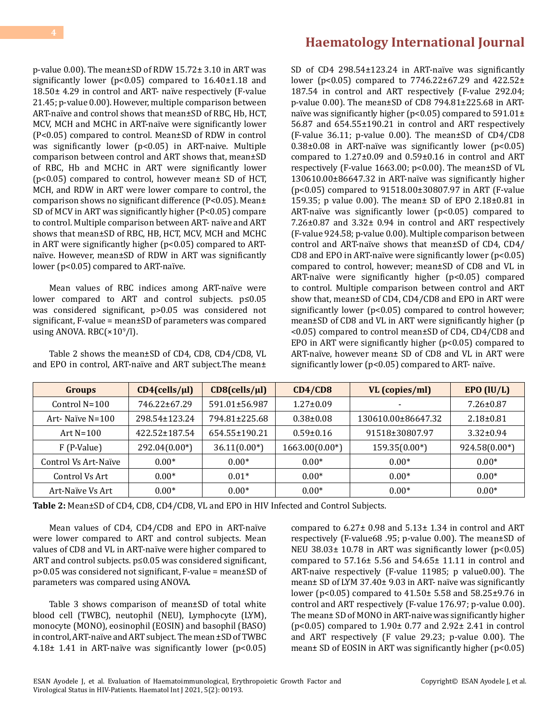p-value 0.00). The mean±SD of RDW 15.72± 3.10 in ART was significantly lower (p<0.05) compared to 16.40±1.18 and 18.50± 4.29 in control and ART- naïve respectively (F-value 21.45; p-value 0.00). However, multiple comparison between ART-naïve and control shows that mean±SD of RBC, Hb, HCT, MCV, MCH and MCHC in ART-naïve were significantly lower (P<0.05) compared to control. Mean±SD of RDW in control was significantly lower (p<0.05) in ART-naive. Multiple comparison between control and ART shows that, mean±SD of RBC, Hb and MCHC in ART were significantly lower (p<0.05) compared to control, however mean± SD of HCT, MCH, and RDW in ART were lower compare to control, the comparison shows no significant difference (P<0.05). Mean± SD of MCV in ART was significantly higher (P<0.05) compare to control. Multiple comparison between ART- naïve and ART shows that mean±SD of RBC, HB, HCT, MCV, MCH and MCHC in ART were significantly higher (p<0.05) compared to ARTnaïve. However, mean±SD of RDW in ART was significantly lower (p<0.05) compared to ART-naïve.

Mean values of RBC indices among ART-naïve were lower compared to ART and control subjects. p≤0.05 was considered significant, p>0.05 was considered not significant, F-value = mean±SD of parameters was compared using ANOVA. RBC(×10<sup>9</sup>/l).

Table 2 shows the mean±SD of CD4, CD8, CD4/CD8, VL and EPO in control, ART-naïve and ART subject.The mean±

# **[Haematology International Journal](https://medwinpublishers.com/HIJ/)**

SD of CD4 298.54±123.24 in ART-naïve was significantly lower (p<0.05) compared to 7746.22±67.29 and 422.52± 187.54 in control and ART respectively (F-value 292.04; p-value 0.00). The mean±SD of CD8 794.81±225.68 in ARTnaïve was significantly higher (p<0.05) compared to 591.01± 56.87 and 654.55±190.21 in control and ART respectively (F-value 36.11; p-value 0.00). The mean±SD of CD4/CD8  $0.38\pm0.08$  in ART-naïve was significantly lower (p<0.05) compared to 1.27±0.09 and 0.59±0.16 in control and ART respectively (F-value 1663.00; p<0.00). The mean±SD of VL 130610.00±86647.32 in ART-naïve was significantly higher (p<0.05) compared to 91518.00±30807.97 in ART (F-value 159.35; p value 0.00). The mean± SD of EPO 2.18±0.81 in ART-naïve was significantly lower (p<0.05) compared to 7.26±0.87 and 3.32± 0.94 in control and ART respectively (F-value 924.58; p-value 0.00). Multiple comparison between control and ART-naïve shows that mean±SD of CD4, CD4/ CD8 and EPO in ART-naïve were significantly lower (p<0.05) compared to control, however; mean±SD of CD8 and VL in ART-naïve were significantly higher (p<0.05) compared to control. Multiple comparison between control and ART show that, mean±SD of CD4, CD4/CD8 and EPO in ART were significantly lower (p<0.05) compared to control however; mean±SD of CD8 and VL in ART were significantly higher (p <0.05) compared to control mean±SD of CD4, CD4/CD8 and EPO in ART were significantly higher (p<0.05) compared to ART-naïve, however mean± SD of CD8 and VL in ART were significantly lower (p<0.05) compared to ART- naïve.

| <b>Groups</b>        | $CD4$ (cells/ $\mu$ l) | $CD8$ (cells/ $\mu$ l) | CD4/CD8          | VL (copies/ml)     | EPO (IU/L)      |
|----------------------|------------------------|------------------------|------------------|--------------------|-----------------|
| Control $N=100$      | 746.22±67.29           | 591.01±56.987          | $1.27 \pm 0.09$  |                    | $7.26 \pm 0.87$ |
| Art- Naïve $N=100$   | 298.54±123.24          | 794.81±225.68          | $0.38 \pm 0.08$  | 130610.00±86647.32 | $2.18 \pm 0.81$ |
| Art $N=100$          | 422.52±187.54          | 654.55±190.21          | $0.59 \pm 0.16$  | 91518±30807.97     | $3.32 \pm 0.94$ |
| F (P-Value)          | $292.04(0.00*)$        | $36.11(0.00*)$         | $1663.00(0.00*)$ | $159.35(0.00*)$    | $924.58(0.00*)$ |
| Control Vs Art-Naïve | $0.00*$                | $0.00*$                | $0.00*$          | $0.00*$            | $0.00*$         |
| Control Vs Art       | $0.00*$                | $0.01*$                | $0.00*$          | $0.00*$            | $0.00*$         |
| Art-Naïve Vs Art     | $0.00*$                | $0.00*$                | $0.00*$          | $0.00*$            | $0.00*$         |

**Table 2:** Mean±SD of CD4, CD8, CD4/CD8, VL and EPO in HIV Infected and Control Subjects.

Mean values of CD4, CD4/CD8 and EPO in ART-naïve were lower compared to ART and control subjects. Mean values of CD8 and VL in ART-naïve were higher compared to ART and control subjects. p≤0.05 was considered significant, p>0.05 was considered not significant, F-value = mean±SD of parameters was compared using ANOVA.

Table 3 shows comparison of mean±SD of total white blood cell (TWBC), neutophil (NEU), Lymphocyte (LYM), monocyte (MONO), eosinophil (EOSIN) and basophil (BASO) in control, ART-naïve and ART subject. The mean ±SD of TWBC 4.18 $\pm$  1.41 in ART-naïve was significantly lower (p<0.05) compared to  $6.27 \pm 0.98$  and  $5.13 \pm 1.34$  in control and ART respectively (F-value68 .95; p-value 0.00). The mean±SD of NEU 38.03 $\pm$  10.78 in ART was significantly lower (p<0.05) compared to 57.16± 5.56 and 54.65± 11.11 in control and ART-naive respectively (F-value 11985; p value0.00). The mean± SD of LYM 37.40± 9.03 in ART- naïve was significantly lower (p<0.05) compared to 41.50± 5.58 and 58.25±9.76 in control and ART respectively (F-value 176.97; p-value 0.00). The mean± SD of MONO in ART-naive was significantly higher (p<0.05) compared to 1.90± 0.77 and 2.92± 2.41 in control and ART respectively (F value 29.23; p-value 0.00). The mean± SD of EOSIN in ART was significantly higher (p<0.05)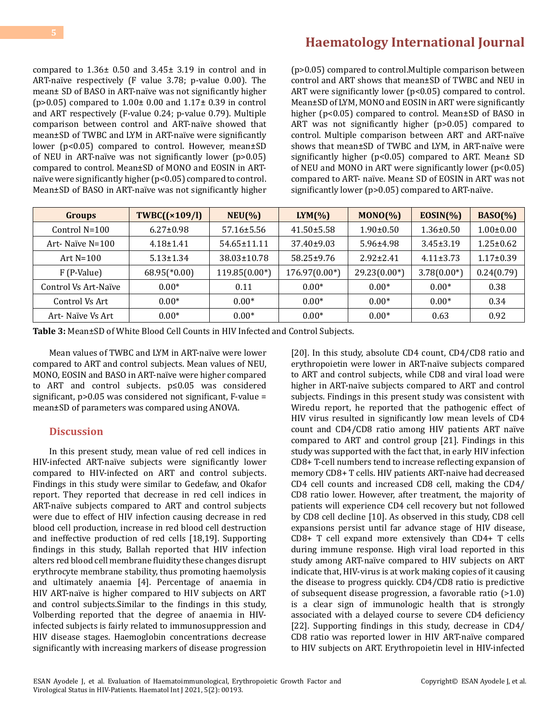# **[Haematology International Journal](https://medwinpublishers.com/HIJ/)**

compared to 1.36± 0.50 and 3.45± 3.19 in control and in ART-naïve respectively (F value 3.78; p-value 0.00). The mean± SD of BASO in ART-naïve was not significantly higher (p>0.05) compared to 1.00± 0.00 and 1.17± 0.39 in control and ART respectively (F-value 0.24; p-value 0.79). Multiple comparison between control and ART-naïve showed that mean±SD of TWBC and LYM in ART-naïve were significantly lower (p<0.05) compared to control. However, mean±SD of NEU in ART-naïve was not significantly lower (p>0.05) compared to control. Mean±SD of MONO and EOSIN in ARTnaïve were significantly higher (p<0.05) compared to control. Mean±SD of BASO in ART-naïve was not significantly higher

(p>0.05) compared to control.Multiple comparison between control and ART shows that mean±SD of TWBC and NEU in ART were significantly lower (p<0.05) compared to control. Mean±SD of LYM, MONO and EOSIN in ART were significantly higher (p<0.05) compared to control. Mean±SD of BASO in ART was not significantly higher (p>0.05) compared to control. Multiple comparison between ART and ART-naïve shows that mean±SD of TWBC and LYM, in ART-naïve were significantly higher (p<0.05) compared to ART. Mean± SD of NEU and MONO in ART were significantly lower (p<0.05) compared to ART- naïve. Mean± SD of EOSIN in ART was not significantly lower (p>0.05) compared to ART-naïve.

| <b>Groups</b>        | TWBC((x109/l))             | $NEU(\% )$        | $LYM(\% )$       | $MONO(\% )$     | $EOSIN(\% )$    | $BASO(\%)$      |
|----------------------|----------------------------|-------------------|------------------|-----------------|-----------------|-----------------|
| Control $N=100$      | $6.27 \pm 0.98$            | $57.16 \pm 5.56$  | $41.50 \pm 5.58$ | $1.90 \pm 0.50$ | $1.36 \pm 0.50$ | $1.00 \pm 0.00$ |
| Art- Naïve $N=100$   | $4.18 \pm 1.41$            | $54.65 \pm 11.11$ | $37.40 \pm 9.03$ | $5.96 \pm 4.98$ | $3.45 \pm 3.19$ | $1.25 \pm 0.62$ |
| Art $N=100$          | $5.13 \pm 1.34$            | 38.03±10.78       | 58.25±9.76       | $2.92 \pm 2.41$ | $4.11 \pm 3.73$ | $1.17 \pm 0.39$ |
| F (P-Value)          | $68.95$ <sup>(*0.00)</sup> | $119.85(0.00*)$   | $176.97(0.00*)$  | $29.23(0.00*)$  | $3.78(0.00*)$   | 0.24(0.79)      |
| Control Vs Art-Naïve | $0.00*$                    | 0.11              | $0.00*$          | $0.00*$         | $0.00*$         | 0.38            |
| Control Vs Art       | $0.00*$                    | $0.00*$           | $0.00*$          | $0.00*$         | $0.00*$         | 0.34            |
| Art- Naïve Vs Art    | $0.00*$                    | $0.00*$           | $0.00*$          | $0.00*$         | 0.63            | 0.92            |

**Table 3:** Mean±SD of White Blood Cell Counts in HIV Infected and Control Subjects.

Mean values of TWBC and LYM in ART-naïve were lower compared to ART and control subjects. Mean values of NEU, MONO, EOSIN and BASO in ART-naïve were higher compared to ART and control subjects. p≤0.05 was considered significant, p>0.05 was considered not significant, F-value = mean±SD of parameters was compared using ANOVA.

## **Discussion**

In this present study, mean value of red cell indices in HIV-infected ART-naïve subjects were significantly lower compared to HIV-infected on ART and control subjects. Findings in this study were similar to Gedefaw, and Okafor report. They reported that decrease in red cell indices in ART-naïve subjects compared to ART and control subjects were due to effect of HIV infection causing decrease in red blood cell production, increase in red blood cell destruction and ineffective production of red cells [18,19]. Supporting findings in this study, Ballah reported that HIV infection alters red blood cell membrane fluidity these changes disrupt erythrocyte membrane stability, thus promoting haemolysis and ultimately anaemia [4]. Percentage of anaemia in HIV ART-naïve is higher compared to HIV subjects on ART and control subjects.Similar to the findings in this study, Volberding reported that the degree of anaemia in HIVinfected subjects is fairly related to immunosuppression and HIV disease stages. Haemoglobin concentrations decrease significantly with increasing markers of disease progression

[20]. In this study, absolute CD4 count, CD4/CD8 ratio and erythropoietin were lower in ART-naïve subjects compared to ART and control subjects, while CD8 and viral load were higher in ART-naïve subjects compared to ART and control subjects. Findings in this present study was consistent with Wiredu report, he reported that the pathogenic effect of HIV virus resulted in significantly low mean levels of CD4 count and CD4/CD8 ratio among HIV patients ART naïve compared to ART and control group [21]. Findings in this study was supported with the fact that, in early HIV infection CD8+ T-cell numbers tend to increase reflecting expansion of memory CD8+ T cells. HIV patients ART-naive had decreased CD4 cell counts and increased CD8 cell, making the CD4/ CD8 ratio lower. However, after treatment, the majority of patients will experience CD4 cell recovery but not followed by CD8 cell decline [10]. As observed in this study, CD8 cell expansions persist until far advance stage of HIV disease, CD8+ T cell expand more extensively than CD4+ T cells during immune response. High viral load reported in this study among ART-naïve compared to HIV subjects on ART indicate that, HIV-virus is at work making copies of it causing the disease to progress quickly. CD4/CD8 ratio is predictive of subsequent disease progression, a favorable ratio (>1.0) is a clear sign of immunologic health that is strongly associated with a delayed course to severe CD4 deficiency [22]. Supporting findings in this study, decrease in CD4/ CD8 ratio was reported lower in HIV ART-naïve compared to HIV subjects on ART. Erythropoietin level in HIV-infected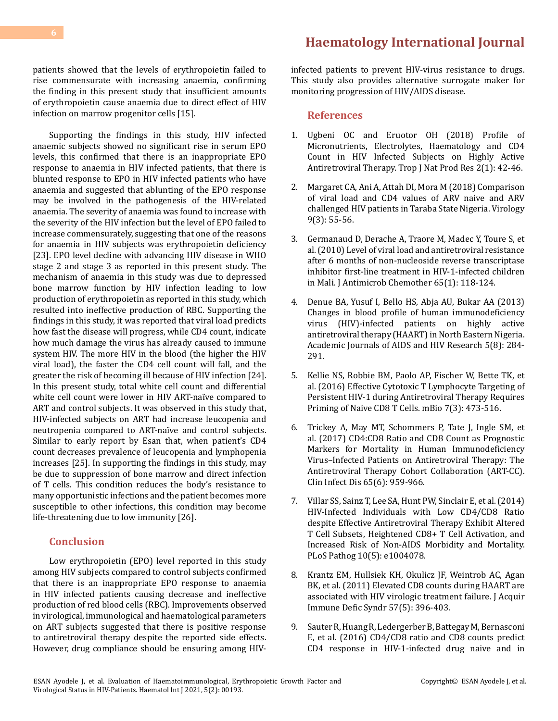patients showed that the levels of erythropoietin failed to rise commensurate with increasing anaemia, confirming the finding in this present study that insufficient amounts of erythropoietin cause anaemia due to direct effect of HIV infection on marrow progenitor cells [15].

Supporting the findings in this study, HIV infected anaemic subjects showed no significant rise in serum EPO levels, this confirmed that there is an inappropriate EPO response to anaemia in HIV infected patients, that there is blunted response to EPO in HIV infected patients who have anaemia and suggested that ablunting of the EPO response may be involved in the pathogenesis of the HIV-related anaemia. The severity of anaemia was found to increase with the severity of the HIV infection but the level of EPO failed to increase commensurately, suggesting that one of the reasons for anaemia in HIV subjects was erythropoietin deficiency [23]. EPO level decline with advancing HIV disease in WHO stage 2 and stage 3 as reported in this present study. The mechanism of anaemia in this study was due to depressed bone marrow function by HIV infection leading to low production of erythropoietin as reported in this study, which resulted into ineffective production of RBC. Supporting the findings in this study, it was reported that viral load predicts how fast the disease will progress, while CD4 count, indicate how much damage the virus has already caused to immune system HIV. The more HIV in the blood (the higher the HIV viral load), the faster the CD4 cell count will fall, and the greater the risk of becoming ill because of HIV infection [24]. In this present study, total white cell count and differential white cell count were lower in HIV ART-naïve compared to ART and control subjects. It was observed in this study that, HIV-infected subjects on ART had increase leucopenia and neutropenia compared to ART-naïve and control subjects. Similar to early report by Esan that, when patient's CD4 count decreases prevalence of leucopenia and lymphopenia increases [25]. In supporting the findings in this study, may be due to suppression of bone marrow and direct infection of T cells. This condition reduces the body's resistance to many opportunistic infections and the patient becomes more susceptible to other infections, this condition may become life-threatening due to low immunity [26].

## **Conclusion**

Low erythropoietin (EPO) level reported in this study among HIV subjects compared to control subjects confirmed that there is an inappropriate EPO response to anaemia in HIV infected patients causing decrease and ineffective production of red blood cells (RBC). Improvements observed in virological, immunological and haematological parameters on ART subjects suggested that there is positive response to antiretroviral therapy despite the reported side effects. However, drug compliance should be ensuring among HIV-

**[Haematology International Journal](https://medwinpublishers.com/HIJ/)**

infected patients to prevent HIV-virus resistance to drugs. This study also provides alternative surrogate maker for monitoring progression of HIV/AIDS disease.

#### **References**

- 1. [Ugbeni OC and Eruotor OH \(2018\) Profile of](https://www.semanticscholar.org/paper/Profile-of-Micronutrients%2C-Electrolytes%2C-and-CD4-in-Ugbeni-Eruotor/d6d48db56f4474631ba74a8fe74726b5923755e8) [Micronutrients, Electrolytes, Haematology and CD4](https://www.semanticscholar.org/paper/Profile-of-Micronutrients%2C-Electrolytes%2C-and-CD4-in-Ugbeni-Eruotor/d6d48db56f4474631ba74a8fe74726b5923755e8) [Count in HIV Infected Subjects on Highly Active](https://www.semanticscholar.org/paper/Profile-of-Micronutrients%2C-Electrolytes%2C-and-CD4-in-Ugbeni-Eruotor/d6d48db56f4474631ba74a8fe74726b5923755e8) [Antiretroviral Therapy. Trop J Nat Prod Res 2\(1\): 42-46.](https://www.semanticscholar.org/paper/Profile-of-Micronutrients%2C-Electrolytes%2C-and-CD4-in-Ugbeni-Eruotor/d6d48db56f4474631ba74a8fe74726b5923755e8)
- 2. [Margaret CA, Ani A, Attah DI, Mora M \(2018\) Comparison](https://www.semanticscholar.org/paper/Comparison-of-Viral-Load-and-CD4%2B-Values-of-ARV-and-Attah-Ani/7b58f371553fb1e0809378588f206bcfc820eda3) [of viral load and CD4 values of ARV naive and ARV](https://www.semanticscholar.org/paper/Comparison-of-Viral-Load-and-CD4%2B-Values-of-ARV-and-Attah-Ani/7b58f371553fb1e0809378588f206bcfc820eda3) [challenged HIV patients in Taraba State Nigeria. Virology](https://www.semanticscholar.org/paper/Comparison-of-Viral-Load-and-CD4%2B-Values-of-ARV-and-Attah-Ani/7b58f371553fb1e0809378588f206bcfc820eda3)  [9\(3\): 55-56.](https://www.semanticscholar.org/paper/Comparison-of-Viral-Load-and-CD4%2B-Values-of-ARV-and-Attah-Ani/7b58f371553fb1e0809378588f206bcfc820eda3)
- 3. [Germanaud D, Derache A, Traore M, Madec Y, Toure S, et](https://pubmed.ncbi.nlm.nih.gov/19933171/) [al. \(2010\) Level of viral load and antiretroviral resistance](https://pubmed.ncbi.nlm.nih.gov/19933171/) [after 6 months of non-nucleoside reverse transcriptase](https://pubmed.ncbi.nlm.nih.gov/19933171/) [inhibitor first-line treatment in HIV-1-infected children](https://pubmed.ncbi.nlm.nih.gov/19933171/) [in Mali. J Antimicrob Chemother 65\(1\): 118-124.](https://pubmed.ncbi.nlm.nih.gov/19933171/)
- 4. [Denue BA, Yusuf I, Bello HS, Abja AU, Bukar AA \(2013\)](https://academicjournals.org/journal/JAHR/article-stat/062176F7865) [Changes in blood profile of human immunodeficiency](https://academicjournals.org/journal/JAHR/article-stat/062176F7865) [virus \(HIV\)-infected patients on highly active](https://academicjournals.org/journal/JAHR/article-stat/062176F7865)  [antiretroviral therapy \(HAART\) in North Eastern Nigeria.](https://academicjournals.org/journal/JAHR/article-stat/062176F7865) [Academic Journals of AIDS and HIV Research 5\(8\): 284-](https://academicjournals.org/journal/JAHR/article-stat/062176F7865) [291.](https://academicjournals.org/journal/JAHR/article-stat/062176F7865)
- 5. [Kellie NS, Robbie BM, Paolo AP, Fischer W, Bette TK, et](https://pubmed.ncbi.nlm.nih.gov/27247230/)  [al. \(2016\) Effective Cytotoxic T Lymphocyte Targeting of](https://pubmed.ncbi.nlm.nih.gov/27247230/) [Persistent HIV-1 during Antiretroviral Therapy Requires](https://pubmed.ncbi.nlm.nih.gov/27247230/) [Priming of Naive CD8 T Cells. mBio 7\(3\): 473-516.](https://pubmed.ncbi.nlm.nih.gov/27247230/)
- 6. [Trickey A, May MT, Schommers P, Tate J, Ingle SM, et](https://pubmed.ncbi.nlm.nih.gov/28903507/)  [al. \(2017\) CD4:CD8 Ratio and CD8 Count as Prognostic](https://pubmed.ncbi.nlm.nih.gov/28903507/) [Markers for Mortality in Human Immunodeficiency](https://pubmed.ncbi.nlm.nih.gov/28903507/) [Virus–Infected Patients on Antiretroviral Therapy: The](https://pubmed.ncbi.nlm.nih.gov/28903507/) [Antiretroviral Therapy Cohort Collaboration \(ART-CC\).](https://pubmed.ncbi.nlm.nih.gov/28903507/) Clin Infect Dis [65\(6\): 959-966.](https://pubmed.ncbi.nlm.nih.gov/28903507/)
- 7. [Villar SS, Sainz T, Lee SA, Hunt PW, Sinclair E, et al. \(2014\)](https://pubmed.ncbi.nlm.nih.gov/24831517/) [HIV-Infected Individuals with Low CD4/CD8 Ratio](https://pubmed.ncbi.nlm.nih.gov/24831517/)  [despite Effective Antiretroviral Therapy Exhibit Altered](https://pubmed.ncbi.nlm.nih.gov/24831517/)  [T Cell Subsets, Heightened CD8+ T Cell Activation, and](https://pubmed.ncbi.nlm.nih.gov/24831517/)  [Increased Risk of Non-AIDS Morbidity and Mortality.](https://pubmed.ncbi.nlm.nih.gov/24831517/)  [PLoS Pathog 10\(5\): e1004078.](https://pubmed.ncbi.nlm.nih.gov/24831517/)
- 8. [Krantz EM, Hullsiek KH, Okulicz JF, Weintrob AC, Agan](https://pubmed.ncbi.nlm.nih.gov/21602694/)  BK, et al. (2011) [Elevated CD8 counts during HAART are](https://pubmed.ncbi.nlm.nih.gov/21602694/) [associated with HIV virologic treatment failure. J Acquir](https://pubmed.ncbi.nlm.nih.gov/21602694/)  [Immune Defic Syndr 57\(5\): 396-403.](https://pubmed.ncbi.nlm.nih.gov/21602694/)
- 9. [Sauter R, Huang R, Ledergerber B, Battegay M, Bernasconi](https://pubmed.ncbi.nlm.nih.gov/27759638/) [E, et al. \(2016\) CD4/CD8 ratio](https://pubmed.ncbi.nlm.nih.gov/27759638/) and CD8 counts predict [CD4 response in HIV-1-infected drug naive and in](https://pubmed.ncbi.nlm.nih.gov/27759638/)